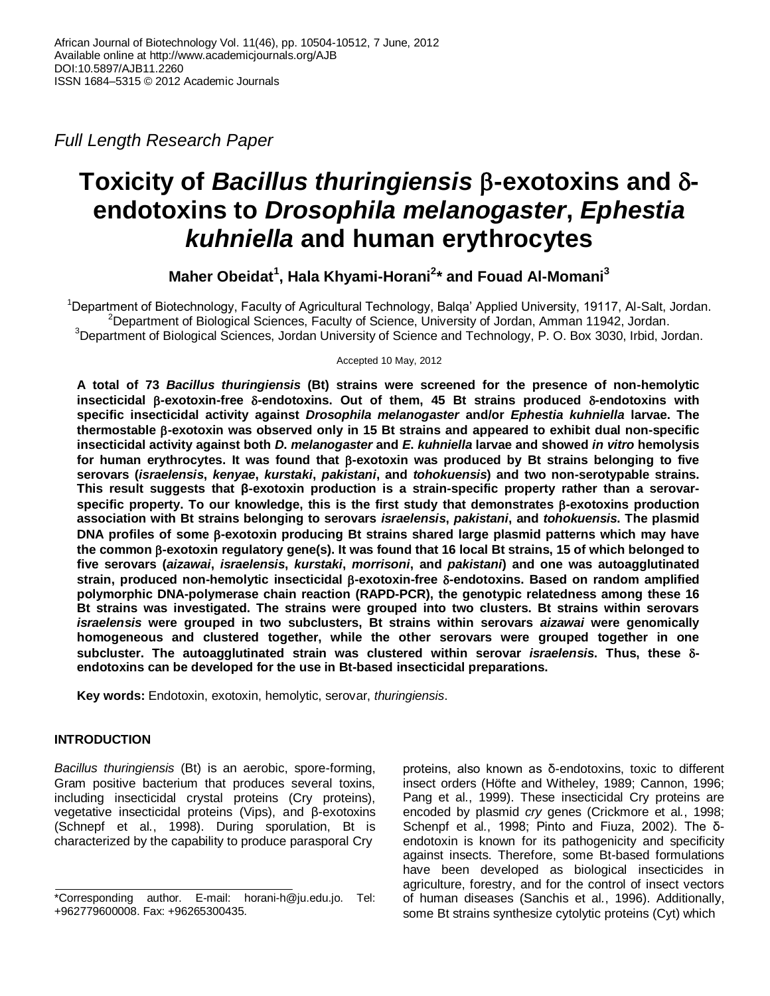*Full Length Research Paper*

# **Toxicity of** *Bacillus thuringiensis* **-exotoxins and endotoxins to** *Drosophila melanogaster***,** *Ephestia kuhniella* **and human erythrocytes**

**Maher Obeidat<sup>1</sup> , Hala Khyami-Horani<sup>2</sup> \* and Fouad Al-Momani<sup>3</sup>**

<sup>1</sup>Department of Biotechnology, Faculty of Agricultural Technology, Balqa' Applied University, 19117, Al-Salt, Jordan. <sup>2</sup>Department of Biological Sciences, Faculty of Science, University of Jordan, Amman 11942, Jordan. <sup>3</sup>Department of Biological Sciences, Jordan University of Science and Technology, P. O. Box 3030, Irbid, Jordan.

Accepted 10 May, 2012

**A total of 73** *Bacillus thuringiensis* **(Bt) strains were screened for the presence of non-hemolytic insecticidal -exotoxin-free -endotoxins. Out of them, 45 Bt strains produced -endotoxins with specific insecticidal activity against** *Drosophila melanogaster* **and/or** *Ephestia kuhniella* **larvae. The thermostable -exotoxin was observed only in 15 Bt strains and appeared to exhibit dual non-specific insecticidal activity against both** *D***.** *melanogaster* **and** *E***.** *kuhniella* **larvae and showed** *in vitro* **hemolysis**  for human erythrocytes. It was found that  $\beta$ -exotoxin was produced by Bt strains belonging to five **serovars (***israelensis***,** *kenyae***,** *kurstaki***,** *pakistani***, and** *tohokuensis***) and two non-serotypable strains. This result suggests that β-exotoxin production is a strain-specific property rather than a serovarspecific property. To our knowledge, this is the first study that demonstrates β-exotoxins production association with Bt strains belonging to serovars** *israelensis***,** *pakistani***, and** *tohokuensis***. The plasmid DNA profiles of some -exotoxin producing Bt strains shared large plasmid patterns which may have the common -exotoxin regulatory gene(s). It was found that 16 local Bt strains, 15 of which belonged to five serovars (***aizawai***,** *israelensis***,** *kurstaki***,** *morrisoni***, and** *pakistani***) and one was autoagglutinated strain, produced non-hemolytic insecticidal -exotoxin-free -endotoxins. Based on random amplified polymorphic DNA-polymerase chain reaction (RAPD-PCR), the genotypic relatedness among these 16 Bt strains was investigated. The strains were grouped into two clusters. Bt strains within serovars**  *israelensis* **were grouped in two subclusters, Bt strains within serovars** *aizawai* **were genomically homogeneous and clustered together, while the other serovars were grouped together in one subcluster. The autoagglutinated strain was clustered within serovar** *israelensis***. Thus, these endotoxins can be developed for the use in Bt-based insecticidal preparations.**

**Key words:** Endotoxin, exotoxin, hemolytic, serovar, *thuringiensis*.

# **INTRODUCTION**

*Bacillus thuringiensis* (Bt) is an aerobic, spore-forming, Gram positive bacterium that produces several toxins, including insecticidal crystal proteins (Cry proteins), vegetative insecticidal proteins (Vips), and β-exotoxins (Schnepf et al*.*, 1998). During sporulation, Bt is characterized by the capability to produce parasporal Cry

proteins, also known as δ-endotoxins, toxic to different insect orders (Höfte and Witheley, 1989; Cannon, 1996; Pang et al*.*, 1999). These insecticidal Cry proteins are encoded by plasmid *cry* genes (Crickmore et al*.*, 1998; Schenpf et al*.*, 1998; Pinto and Fiuza, 2002). The δendotoxin is known for its pathogenicity and specificity against insects. Therefore, some Bt-based formulations have been developed as biological insecticides in agriculture, forestry, and for the control of insect vectors of human diseases (Sanchis et al*.*, 1996). Additionally, some Bt strains synthesize cytolytic proteins (Cyt) which

<sup>\*</sup>Corresponding author. E-mail: horani-h@ju.edu.jo. Tel: +962779600008. Fax: +96265300435.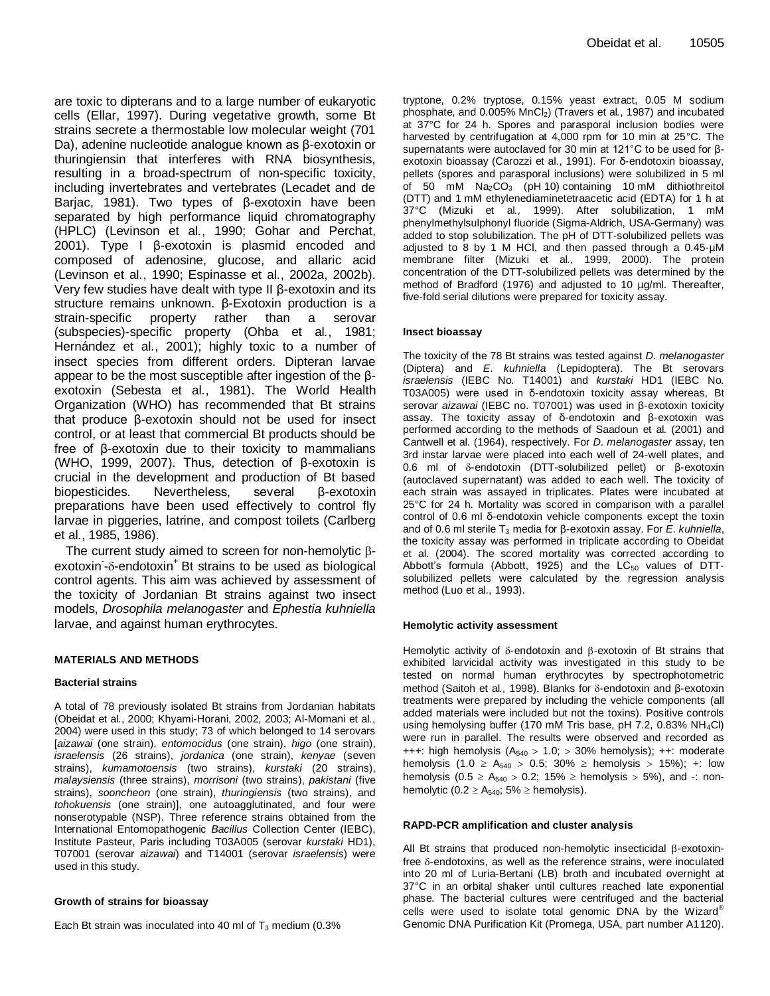are toxic to dipterans and to a large number of eukaryotic cells (Ellar, 1997). During vegetative growth, some Bt strains secrete a thermostable low molecular weight (701 Da), adenine nucleotide analogue known as β-exotoxin or thuringiensin that interferes with RNA biosynthesis, resulting in a broad-spectrum of non-specific toxicity, including invertebrates and vertebrates (Lecadet and de Barjac, 1981). Two types of β-exotoxin have been separated by high performance liquid chromatography (HPLC) (Levinson et al*.*, 1990; Gohar and Perchat, 2001). Type I β-exotoxin is plasmid encoded and composed of adenosine, glucose, and allaric acid (Levinson et al*.*, 1990; Espinasse et al*.*, 2002a, 2002b). Very few studies have dealt with type II β-exotoxin and its structure remains unknown. β-Exotoxin production is a strain-specific property rather than a serovar (subspecies)-specific property (Ohba et al*.*, 1981; Hernández et al*.*, 2001); highly toxic to a number of insect species from different orders. Dipteran larvae appear to be the most susceptible after ingestion of the βexotoxin (Sebesta et al*.*, 1981). The World Health Organization (WHO) has recommended that Bt strains that produce β-exotoxin should not be used for insect control, or at least that commercial Bt products should be free of β-exotoxin due to their toxicity to mammalians (WHO, 1999, 2007). Thus, detection of β-exotoxin is crucial in the development and production of Bt based<br>biopesticides. Nevertheless, several B-exotoxin biopesticides. Nevertheless, several preparations have been used effectively to control fly larvae in piggeries, latrine, and compost toilets (Carlberg et al*.*, 1985, 1986).

The current study aimed to screen for non-hemolytic  $\beta$ exotoxin-8-endotoxin<sup>+</sup> Bt strains to be used as biological control agents. This aim was achieved by assessment of the toxicity of Jordanian Bt strains against two insect models, *Drosophila melanogaster* and *Ephestia kuhniella* larvae, and against human erythrocytes.

## **MATERIALS AND METHODS**

#### **Bacterial strains**

A total of 78 previously isolated Bt strains from Jordanian habitats (Obeidat et al*.*, 2000; Khyami-Horani, 2002, 2003; Al-Momani et al*.*, 2004) were used in this study; 73 of which belonged to 14 serovars [*aizawai* (one strain), *entomocidus* (one strain), *higo* (one strain), *israelensis* (26 strains), *jordanica* (one strain), *kenyae* (seven strains), *kumamotoensis* (two strains), *kurstaki* (20 strains), *malaysiensis* (three strains), *morrisoni* (two strains), *pakistani* (five strains), *sooncheon* (one strain), *thuringiensis* (two strains), and *tohokuensis* (one strain)], one autoagglutinated, and four were nonserotypable (NSP). Three reference strains obtained from the International Entomopathogenic *Bacillus* Collection Center (IEBC), Institute Pasteur, Paris including T03A005 (serovar *kurstaki* HD1), T07001 (serovar *aizawai*) and T14001 (serovar *israelensis*) were used in this study.

#### **Growth of strains for bioassay**

Each Bt strain was inoculated into 40 ml of  $T_3$  medium (0.3%)

tryptone, 0.2% tryptose, 0.15% yeast extract, 0.05 M sodium phosphate, and 0.005% MnCl2) (Travers et al*.*, 1987) and incubated at 37°C for 24 h. Spores and parasporal inclusion bodies were harvested by centrifugation at 4,000 rpm for 10 min at 25°C. The supernatants were autoclaved for 30 min at 121°C to be used for βexotoxin bioassay (Carozzi et al., 1991). For δ-endotoxin bioassay, pellets (spores and parasporal inclusions) were solubilized in 5 ml of 50 mM Na<sub>2</sub>CO<sub>3</sub> (pH 10) containing 10 mM dithiothreitol (DTT) and 1 mM ethylenediaminetetraacetic acid (EDTA) for 1 h at 37°C (Mizuki et al*.,* 1999). After solubilization, 1 mM phenylmethylsulphonyl fluoride (Sigma-Aldrich, USA-Germany) was added to stop solubilization. The pH of DTT-solubilized pellets was adjusted to 8 by 1 M HCl, and then passed through a 0.45-µM membrane filter (Mizuki et al*.,* 1999, 2000). The protein concentration of the DTT-solubilized pellets was determined by the method of Bradford (1976) and adjusted to 10 µg/ml. Thereafter, five-fold serial dilutions were prepared for toxicity assay.

#### **Insect bioassay**

The toxicity of the 78 Bt strains was tested against *D*. *melanogaster*  (Diptera) and *E*. *kuhniella* (Lepidoptera). The Bt serovars *israelensis* (IEBC No. T14001) and *kurstaki* HD1 (IEBC No. T03A005) were used in δ-endotoxin toxicity assay whereas, Bt serovar *aizawai* (IEBC no. T07001) was used in β-exotoxin toxicity assay. The toxicity assay of δ-endotoxin and β-exotoxin was performed according to the methods of Saadoun et al*.* (2001) and Cantwell et al*.* (1964), respectively. For *D*. *melanogaster* assay, ten 3rd instar larvae were placed into each well of 24-well plates, and 0.6 ml of δ-endotoxin (DTT-solubilized pellet) or β-exotoxin (autoclaved supernatant) was added to each well. The toxicity of each strain was assayed in triplicates. Plates were incubated at 25°C for 24 h. Mortality was scored in comparison with a parallel control of 0.6 ml δ-endotoxin vehicle components except the toxin and of 0.6 ml sterile T<sup>3</sup> media for β-exotoxin assay. For *E*. *kuhniella*, the toxicity assay was performed in triplicate according to Obeidat et al. (2004). The scored mortality was corrected according to Abbott's formula (Abbott, 1925) and the  $LC_{50}$  values of DTTsolubilized pellets were calculated by the regression analysis method (Luo et al., 1993).

#### **Hemolytic activity assessment**

Hemolytic activity of  $\delta$ -endotoxin and  $\beta$ -exotoxin of Bt strains that exhibited larvicidal activity was investigated in this study to be tested on normal human erythrocytes by spectrophotometric method (Saitoh et al., 1998). Blanks for δ-endotoxin and β-exotoxin treatments were prepared by including the vehicle components (all added materials were included but not the toxins). Positive controls using hemolysing buffer (170 mM Tris base, pH 7.2, 0.83% NH4Cl) were run in parallel. The results were observed and recorded as +++: high hemolysis  $(A_{540} > 1.0; > 30\%$  hemolysis); ++: moderate hemolysis (1.0  $\geq$  A<sub>540</sub>  $>$  0.5; 30%  $\geq$  hemolysis  $>$  15%); +: low hemolysis (0.5  $\geq$  A<sub>540</sub>  $>$  0.2; 15%  $\geq$  hemolysis  $>$  5%), and -: nonhemolytic (0.2  $\geq$  A<sub>540</sub>; 5%  $\geq$  hemolysis).

#### **RAPD-PCR amplification and cluster analysis**

All Bt strains that produced non-hemolytic insecticidal  $\beta$ -exotoxinfree  $\delta$ -endotoxins, as well as the reference strains, were inoculated into 20 ml of Luria-Bertani (LB) broth and incubated overnight at 37°C in an orbital shaker until cultures reached late exponential phase. The bacterial cultures were centrifuged and the bacterial cells were used to isolate total genomic DNA by the Wizard® Genomic DNA Purification Kit (Promega, USA, part number A1120).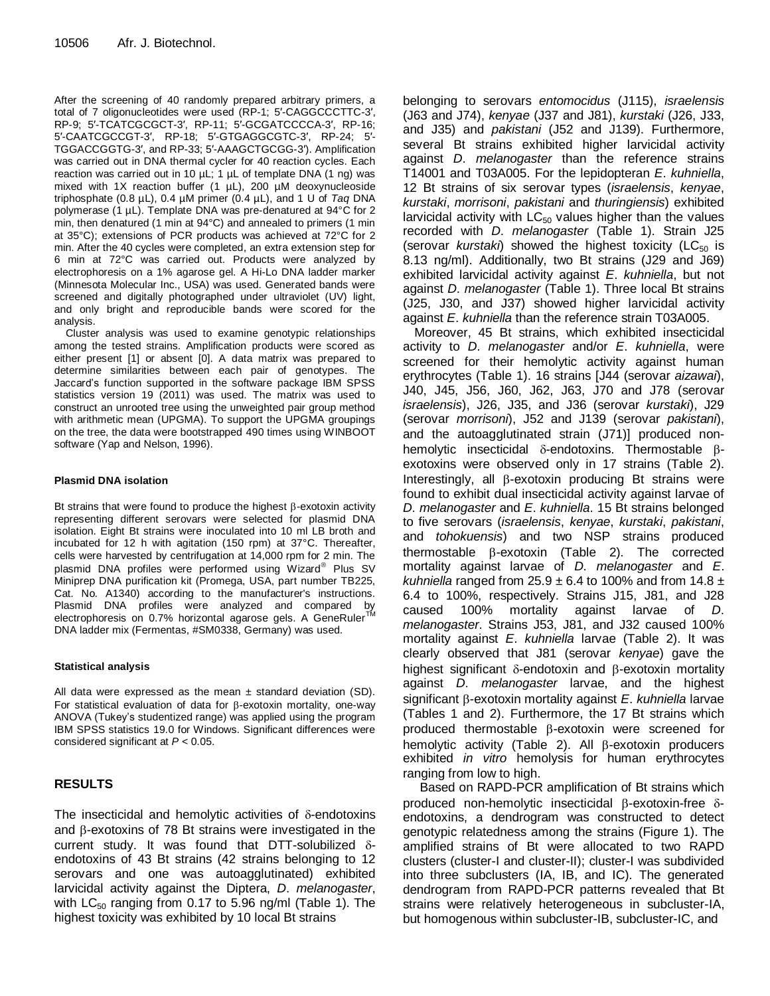After the screening of 40 randomly prepared arbitrary primers, a total of 7 oligonucleotides were used (RP-1; 5′-CAGGCCCTTC-3′, RP-9; 5′-TCATCGCGCT-3′, RP-11; 5′-GCGATCCCCA-3′, RP-16; 5′-CAATCGCCGT-3′, RP-18; 5′-GTGAGGCGTC-3′, RP-24; 5′- TGGACCGGTG-3′, and RP-33; 5′-AAAGCTGCGG-3′). Amplification was carried out in DNA thermal cycler for 40 reaction cycles. Each reaction was carried out in 10  $\mu$ L; 1  $\mu$ L of template DNA (1 ng) was mixed with 1X reaction buffer (1 µL), 200 µM deoxynucleoside triphosphate (0.8 µL), 0.4 µM primer (0.4 µL), and 1 U of *Taq* DNA polymerase (1 µL). Template DNA was pre-denatured at 94°C for 2 min, then denatured (1 min at 94°C) and annealed to primers (1 min at 35°C); extensions of PCR products was achieved at 72°C for 2 min. After the 40 cycles were completed, an extra extension step for 6 min at 72°C was carried out. Products were analyzed by electrophoresis on a 1% agarose gel. A Hi-Lo DNA ladder marker (Minnesota Molecular Inc., USA) was used. Generated bands were screened and digitally photographed under ultraviolet (UV) light, and only bright and reproducible bands were scored for the analysis.

Cluster analysis was used to examine genotypic relationships among the tested strains. Amplification products were scored as either present [1] or absent [0]. A data matrix was prepared to determine similarities between each pair of genotypes. The Jaccard's function supported in the software package IBM SPSS statistics version 19 (2011) was used. The matrix was used to construct an unrooted tree using the unweighted pair group method with arithmetic mean (UPGMA). To support the UPGMA groupings on the tree, the data were bootstrapped 490 times using WINBOOT software (Yap and Nelson, 1996).

## **Plasmid DNA isolation**

Bt strains that were found to produce the highest  $\beta$ -exotoxin activity representing different serovars were selected for plasmid DNA isolation. Eight Bt strains were inoculated into 10 ml LB broth and incubated for 12 h with agitation (150 rpm) at 37°C. Thereafter, cells were harvested by centrifugation at 14,000 rpm for 2 min. The plasmid DNA profiles were performed using Wizard<sup>®</sup> Plus SV Miniprep DNA purification kit (Promega, USA, part number TB225, Cat. No. A1340) according to the manufacturer's instructions. Plasmid DNA profiles were analyzed and compared by<br>electrophoresis on 0.7% horizontal\_agarose\_gels. A\_GeneRuler™ DNA ladder mix (Fermentas, #SM0338, Germany) was used.

## **Statistical analysis**

All data were expressed as the mean  $\pm$  standard deviation (SD). For statistical evaluation of data for  $\beta$ -exotoxin mortality, one-way ANOVA (Tukey's studentized range) was applied using the program IBM SPSS statistics 19.0 for Windows. Significant differences were considered significant at *P* < 0.05.

## **RESULTS**

The insecticidal and hemolytic activities of  $\delta$ -endotoxins and  $\beta$ -exotoxins of 78 Bt strains were investigated in the current study. It was found that DTT-solubilized  $\delta$ endotoxins of 43 Bt strains (42 strains belonging to 12 serovars and one was autoagglutinated) exhibited larvicidal activity against the Diptera, *D*. *melanogaster*, with  $LC_{50}$  ranging from 0.17 to 5.96 ng/ml (Table 1). The highest toxicity was exhibited by 10 local Bt strains

belonging to serovars *entomocidus* (J115), *israelensis*  (J63 and J74), *kenyae* (J37 and J81), *kurstaki* (J26, J33, and J35) and *pakistani* (J52 and J139). Furthermore, several Bt strains exhibited higher larvicidal activity against *D*. *melanogaster* than the reference strains T14001 and T03A005. For the lepidopteran *E*. *kuhniella*, 12 Bt strains of six serovar types (*israelensis*, *kenyae*, *kurstaki*, *morrisoni*, *pakistani* and *thuringiensis*) exhibited larvicidal activity with  $LC_{50}$  values higher than the values recorded with *D*. *melanogaster* (Table 1). Strain J25 (serovar *kurstaki*) showed the highest toxicity (LC<sub>50</sub> is 8.13 ng/ml). Additionally, two Bt strains (J29 and J69) exhibited larvicidal activity against *E*. *kuhniella*, but not against *D*. *melanogaster* (Table 1). Three local Bt strains (J25, J30, and J37) showed higher larvicidal activity against *E*. *kuhniella* than the reference strain T03A005.

Moreover, 45 Bt strains, which exhibited insecticidal activity to *D*. *melanogaster* and/or *E*. *kuhniella*, were screened for their hemolytic activity against human erythrocytes (Table 1). 16 strains [J44 (serovar *aizawai*), J40, J45, J56, J60, J62, J63, J70 and J78 (serovar *israelensis*), J26, J35, and J36 (serovar *kurstaki*), J29 (serovar *morrisoni*), J52 and J139 (serovar *pakistani*), and the autoagglutinated strain (J71)] produced nonhemolytic insecticidal  $\delta$ -endotoxins. Thermostable  $\beta$ exotoxins were observed only in 17 strains (Table 2). Interestingly, all  $\beta$ -exotoxin producing Bt strains were found to exhibit dual insecticidal activity against larvae of *D*. *melanogaster* and *E*. *kuhniella*. 15 Bt strains belonged to five serovars (*israelensis*, *kenyae*, *kurstaki*, *pakistani*, and *tohokuensis*) and two NSP strains produced thermostable  $\beta$ -exotoxin (Table 2). The corrected mortality against larvae of *D*. *melanogaster* and *E*. *kuhniella* ranged from  $25.9 \pm 6.4$  to 100% and from 14.8  $\pm$ 6.4 to 100%, respectively. Strains J15, J81, and J28 caused 100% mortality against larvae of *D*. *melanogaster*. Strains J53, J81, and J32 caused 100% mortality against *E*. *kuhniella* larvae (Table 2). It was clearly observed that J81 (serovar *kenyae*) gave the highest significant  $\delta$ -endotoxin and  $\beta$ -exotoxin mortality against *D*. *melanogaster* larvae, and the highest significant β-exotoxin mortality against *E. kuhniella* larvae (Tables 1 and 2). Furthermore, the 17 Bt strains which produced thermostable  $\beta$ -exotoxin were screened for hemolytic activity (Table 2). All  $\beta$ -exotoxin producers exhibited *in vitro* hemolysis for human erythrocytes ranging from low to high.

Based on RAPD-PCR amplification of Bt strains which produced non-hemolytic insecticidal  $\beta$ -exotoxin-free  $\delta$ endotoxins, a dendrogram was constructed to detect genotypic relatedness among the strains (Figure 1). The amplified strains of Bt were allocated to two RAPD clusters (cluster-I and cluster-II); cluster-I was subdivided into three subclusters (IA, IB, and IC). The generated dendrogram from RAPD-PCR patterns revealed that Bt strains were relatively heterogeneous in subcluster-IA, but homogenous within subcluster-IB, subcluster-IC, and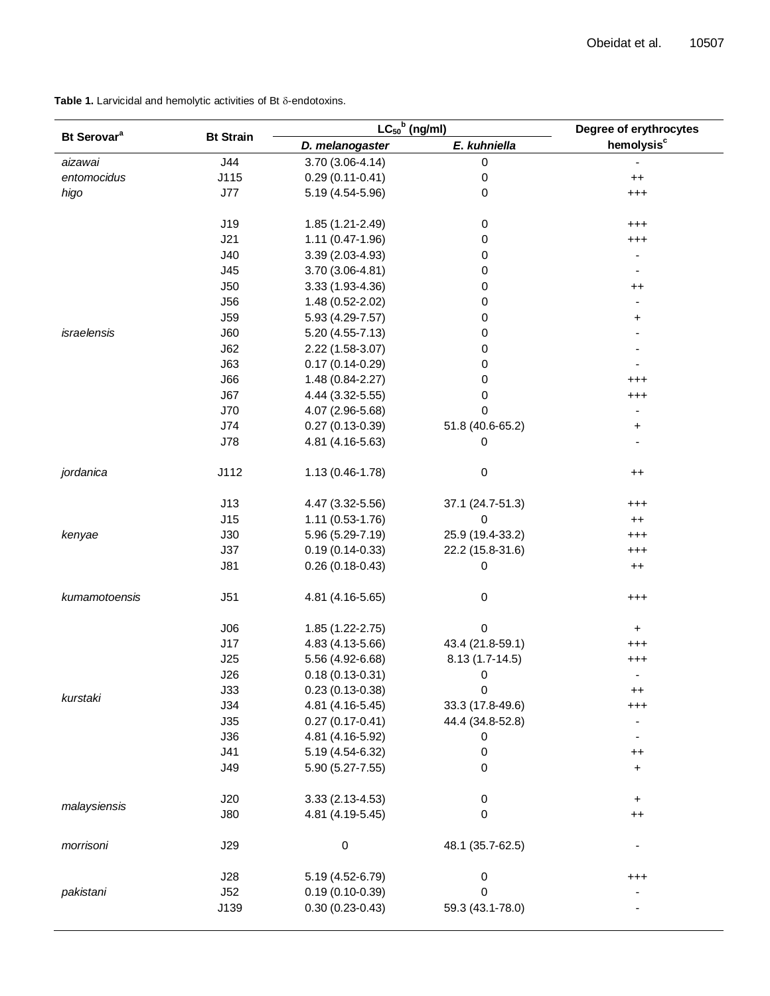| Bt Serovar <sup>a</sup> | <b>Bt Strain</b> | $LC_{50}$ <sup>b</sup> (ng/ml) |                  | Degree of erythrocytes       |
|-------------------------|------------------|--------------------------------|------------------|------------------------------|
|                         |                  | D. melanogaster                | E. kuhniella     | hemolysis <sup>c</sup>       |
| aizawai                 | J44              | 3.70 (3.06-4.14)               | $\pmb{0}$        |                              |
| entomocidus             | J115             | $0.29(0.11-0.41)$              | 0                | $^{++}$                      |
| higo                    | J77              | 5.19 (4.54-5.96)               | 0                | $^{+++}$                     |
|                         |                  |                                |                  |                              |
|                         | J19              | 1.85 (1.21-2.49)               | 0                | $^{+++}$                     |
|                         | J21              | 1.11 (0.47-1.96)               | 0                | $^{\small +++}$              |
|                         | J40              | 3.39 (2.03-4.93)               | 0                |                              |
|                         | J45              | 3.70 (3.06-4.81)               | 0                | $\blacksquare$               |
|                         | J50              | 3.33 (1.93-4.36)               | 0                | $^{\mathrm{++}}$             |
|                         | <b>J56</b>       | 1.48 (0.52-2.02)               | 0                | $\qquad \qquad \blacksquare$ |
|                         | <b>J59</b>       | 5.93 (4.29-7.57)               | 0                | $\ddot{}$                    |
| israelensis             | J60              | 5.20 (4.55-7.13)               | 0                |                              |
|                         | J62              | 2.22 (1.58-3.07)               | 0                |                              |
|                         | J63              | $0.17(0.14 - 0.29)$            | 0                |                              |
|                         | J66              | 1.48 (0.84-2.27)               | 0                | $^{\small +++}$              |
|                         | J67              | 4.44 (3.32-5.55)               | 0                | $^{\small +++}$              |
|                         | J70              | 4.07 (2.96-5.68)               | 0                |                              |
|                         | J74              | $0.27(0.13-0.39)$              | 51.8 (40.6-65.2) | +                            |
|                         | <b>J78</b>       | 4.81 (4.16-5.63)               | 0                |                              |
| jordanica               | J112             | 1.13 (0.46-1.78)               | 0                | $^{\mathrm{++}}$             |
|                         | J13              | 4.47 (3.32-5.56)               | 37.1 (24.7-51.3) | $^{\small +++}$              |
|                         | J15              | 1.11 (0.53-1.76)               | 0                | $++$                         |
| kenyae                  | J30              | 5.96 (5.29-7.19)               | 25.9 (19.4-33.2) | $^{\small +++}$              |
|                         | J37              | $0.19(0.14-0.33)$              | 22.2 (15.8-31.6) | $^{+++}$                     |
|                         | J81              | $0.26(0.18-0.43)$              | 0                | $++$                         |
| kumamotoensis           | J51              | 4.81 (4.16-5.65)               | 0                | $^{+++}$                     |
|                         | J06              | $1.85(1.22 - 2.75)$            | 0                | $\ddot{}$                    |
|                         | J17              | 4.83 (4.13-5.66)               | 43.4 (21.8-59.1) | $^{+++}$                     |
|                         | J25              | 5.56 (4.92-6.68)               | 8.13 (1.7-14.5)  | $^{+++}$                     |
| kurstaki                | J26              | $0.18(0.13 - 0.31)$            | 0                | $\overline{\phantom{0}}$     |
|                         | J33              | $0.23(0.13-0.38)$              | $\pmb{0}$        | $^{\mathrm{+}}$              |
|                         | J34              | 4.81 (4.16-5.45)               | 33.3 (17.8-49.6) | $^{\mathrm{+++}}$            |
|                         | J35              | $0.27(0.17 - 0.41)$            | 44.4 (34.8-52.8) |                              |
|                         | J36              | 4.81 (4.16-5.92)               | 0                |                              |
|                         | J41              | 5.19 (4.54-6.32)               | 0                | $^{\mathrm{+}}$              |
|                         | J49              | 5.90 (5.27-7.55)               | 0                | $\ddot{}$                    |
| malaysiensis            | J20              | $3.33(2.13 - 4.53)$            | 0                | $\ddot{}$                    |
|                         | J80              | 4.81 (4.19-5.45)               | 0                | $++$                         |
| morrisoni               | J29              | $\pmb{0}$                      | 48.1 (35.7-62.5) |                              |
|                         | J28              | 5.19 (4.52-6.79)               | 0                | $^{\small +++}$              |
| pakistani               | J52              | $0.19(0.10-0.39)$              | 0                |                              |
|                         | J139             | $0.30(0.23 - 0.43)$            | 59.3 (43.1-78.0) |                              |

Table 1. Larvicidal and hemolytic activities of Bt  $\delta$ -endotoxins.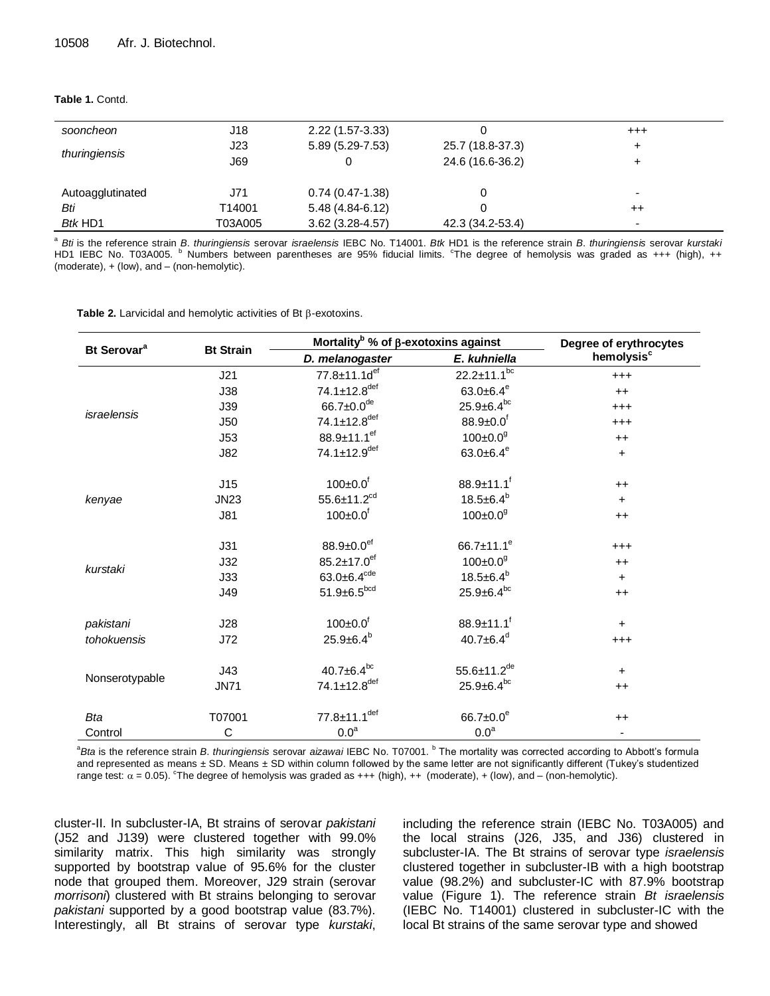#### **Table 1.** Contd.

| sooncheon        | J18     | 2.22 (1.57-3.33)   |                  | $^{++}$ |
|------------------|---------|--------------------|------------------|---------|
| thuringiensis    | J23     | 5.89 (5.29-7.53)   | 25.7 (18.8-37.3) |         |
|                  | J69     | 0                  | 24.6 (16.6-36.2) |         |
|                  |         |                    |                  |         |
| Autoagglutinated | J71     | $0.74(0.47-1.38)$  |                  |         |
| Bti              | T14001  | $5.48(4.84-6.12)$  |                  | $++$    |
| Btk HD1          | T03A005 | $3.62$ (3.28-4.57) | 42.3 (34.2-53.4) | -       |

a *Bti* is the reference strain *B*. *thuringiensis* serovar *israelensis* IEBC No. T14001. *Btk* HD1 is the reference strain *B*. *thuringiensis* serovar *kurstaki*  HD1 IEBC No. T03A005. <sup>b</sup> Numbers between parentheses are 95% fiducial limits. <sup>c</sup>The degree of hemolysis was graded as +++ (high), ++ (moderate), + (low), and – (non-hemolytic).

Table 2. Larvicidal and hemolytic activities of Bt  $\beta$ -exotoxins.

| Bt Serovar <sup>a</sup> | <b>Bt Strain</b> | Mortality <sup>b</sup> % of $\beta$ -exotoxins against |                              | Degree of erythrocytes |
|-------------------------|------------------|--------------------------------------------------------|------------------------------|------------------------|
|                         |                  | D. melanogaster                                        | E. kuhniella                 | hemolysis <sup>c</sup> |
| israelensis             | J21              | 77.8±11.1d <sup>ef</sup>                               | $22.2 \pm 11.1^{bc}$         | $^{+++}$               |
|                         | J38              | $74.1 \pm 12.8$ <sup>def</sup>                         | 63.0 $\pm$ 6.4 $\rm{e}$      | $++$                   |
|                         | <b>J39</b>       | $66.7 \pm 0.0$ <sup>de</sup>                           | $25.9 \pm 6.4^{bc}$          | $^{+++}$               |
|                         | J50              | $74.1 \pm 12.8$ <sup>def</sup>                         | $88.9 \pm 0.0$ <sup>f</sup>  | $^{+++}$               |
|                         | J53              | $88.9 \pm 11.1$ <sup>ef</sup>                          | $100 \pm 0.0$ <sup>g</sup>   | $++$                   |
|                         | <b>J82</b>       | 74.1±12.9def                                           | 63.0 $\pm$ 6.4 $\rm{e}$      | $\ddot{}$              |
| kenyae                  | J15              | $100 \pm 0.0$ <sup>f</sup>                             | $88.9 \pm 11.1$ <sup>f</sup> | $++$                   |
|                         | <b>JN23</b>      | 55.6±11.2 $^{cd}$                                      | $18.5 \pm 6.4^b$             | $\ddot{}$              |
|                         | J81              | $100 \pm 0.0$ <sup>f</sup>                             | $100 \pm 0.0$ <sup>9</sup>   | $^{++}$                |
| kurstaki                | J31              | $88.9 \pm 0.0$ <sup>ef</sup>                           | $66.7 \pm 11.1^e$            | $^{+++}$               |
|                         | J32              | $85.2 \pm 17.0$ <sup>ef</sup>                          | $100 \pm 0.0$ <sup>g</sup>   | $^{++}$                |
|                         | J33              | $63.0 \pm 6.4$ <sup>cde</sup>                          | $18.5 \pm 6.4^b$             | $\ddot{}$              |
|                         | J49              | $51.9 \pm 6.5^{bcd}$                                   | $25.9 \pm 6.4^{bc}$          | $^{++}$                |
| pakistani               | J28              | $100 \pm 0.0$ <sup>f</sup>                             | $88.9 \pm 11.1$ <sup>f</sup> | $+$                    |
| tohokuensis             | J72              | $25.9 \pm 6.4^b$                                       | $40.7 \pm 6.4^d$             | $^{+++}$               |
| Nonserotypable          | J43              | $40.7 \pm 6.4^{bc}$                                    | $55.6 \pm 11.2^{de}$         | $\ddot{}$              |
|                         | <b>JN71</b>      | 74.1±12.8def                                           | $25.9 \pm 6.4^{bc}$          | $^{++}$                |
| <b>Bta</b>              | T07001           | 77.8±11.1 <sup>def</sup>                               | $66.7 \pm 0.0^e$             | $++$                   |
| Control                 | C                | 0.0 <sup>a</sup>                                       | 0.0 <sup>a</sup>             |                        |

<sup>a</sup>Bta is the reference strain *B. thuringiensis* serovar *aizawai* IEBC No. T07001. <sup>b</sup> The mortality was corrected according to Abbott's formula and represented as means ± SD. Means ± SD within column followed by the same letter are not significantly different (Tukey's studentized range test:  $\alpha$  = 0.05). The degree of hemolysis was graded as +++ (high), ++ (moderate), + (low), and – (non-hemolytic).

cluster-II. In subcluster-IA, Bt strains of serovar *pakistani* (J52 and J139) were clustered together with 99.0% similarity matrix. This high similarity was strongly supported by bootstrap value of 95.6% for the cluster node that grouped them. Moreover, J29 strain (serovar *morrisoni*) clustered with Bt strains belonging to serovar *pakistani* supported by a good bootstrap value (83.7%). Interestingly, all Bt strains of serovar type *kurstaki*,

including the reference strain (IEBC No. T03A005) and the local strains (J26, J35, and J36) clustered in subcluster-IA. The Bt strains of serovar type *israelensis* clustered together in subcluster-IB with a high bootstrap value (98.2%) and subcluster-IC with 87.9% bootstrap value (Figure 1). The reference strain *Bt israelensis* (IEBC No. T14001) clustered in subcluster-IC with the local Bt strains of the same serovar type and showed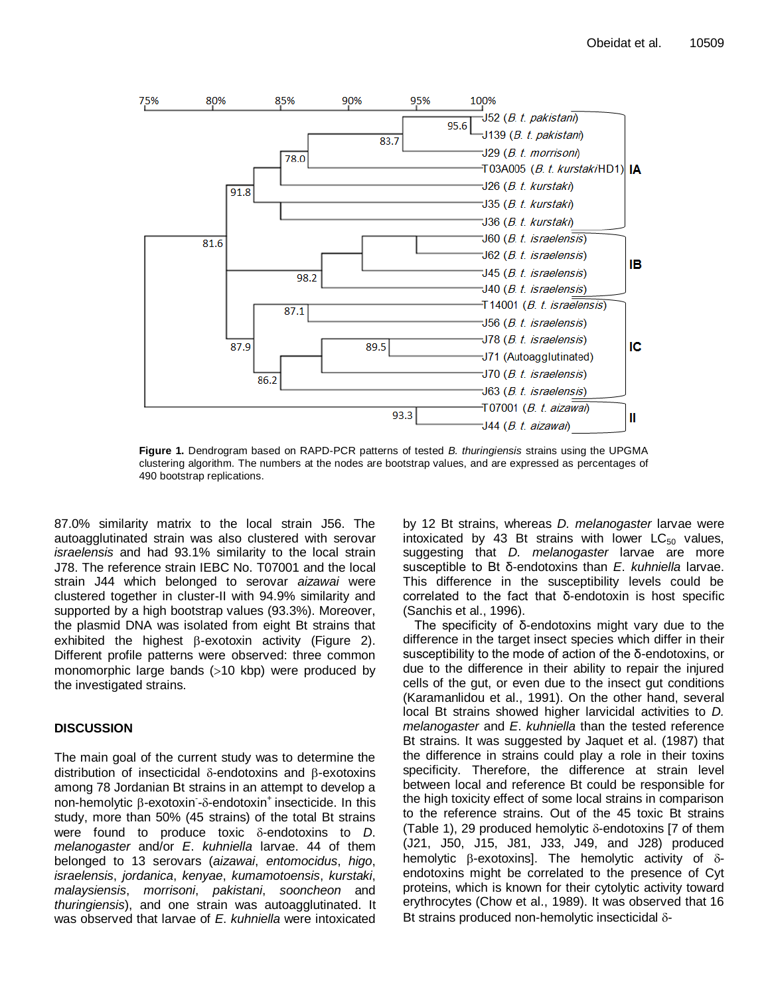

**Figure 1.** Dendrogram based on RAPD-PCR patterns of tested *B. thuringiensis* strains using the UPGMA clustering algorithm. The numbers at the nodes are bootstrap values, and are expressed as percentages of 490 bootstrap replications.

87.0% similarity matrix to the local strain J56. The autoagglutinated strain was also clustered with serovar *israelensis* and had 93.1% similarity to the local strain J78. The reference strain IEBC No. T07001 and the local strain J44 which belonged to serovar *aizawai* were clustered together in cluster-II with 94.9% similarity and supported by a high bootstrap values (93.3%). Moreover, the plasmid DNA was isolated from eight Bt strains that exhibited the highest  $\beta$ -exotoxin activity (Figure 2). Different profile patterns were observed: three common monomorphic large bands  $(>10$  kbp) were produced by the investigated strains.

# **DISCUSSION**

The main goal of the current study was to determine the distribution of insecticidal  $\delta$ -endotoxins and  $\beta$ -exotoxins among 78 Jordanian Bt strains in an attempt to develop a non-hemolytic β-exotoxin -δ-endotoxin<sup>+</sup> insecticide. In this study, more than 50% (45 strains) of the total Bt strains were found to produce toxic  $\delta$ -endotoxins to  $D$ . *melanogaster* and/or *E*. *kuhniella* larvae. 44 of them belonged to 13 serovars (*aizawai*, *entomocidus*, *higo*, *israelensis*, *jordanica*, *kenyae*, *kumamotoensis*, *kurstaki*, *malaysiensis*, *morrisoni*, *pakistani*, *sooncheon* and *thuringiensis*), and one strain was autoagglutinated. It was observed that larvae of *E*. *kuhniella* were intoxicated

by 12 Bt strains, whereas *D. melanogaster* larvae were intoxicated by 43 Bt strains with lower  $LC_{50}$  values, suggesting that *D. melanogaster* larvae are more susceptible to Bt δ-endotoxins than *E*. *kuhniella* larvae. This difference in the susceptibility levels could be correlated to the fact that δ-endotoxin is host specific (Sanchis et al., 1996).

The specificity of δ-endotoxins might vary due to the difference in the target insect species which differ in their susceptibility to the mode of action of the δ-endotoxins, or due to the difference in their ability to repair the injured cells of the gut, or even due to the insect gut conditions (Karamanlidou et al., 1991). On the other hand, several local Bt strains showed higher larvicidal activities to *D. melanogaster* and *E*. *kuhniella* than the tested reference Bt strains. It was suggested by Jaquet et al. (1987) that the difference in strains could play a role in their toxins specificity. Therefore, the difference at strain level between local and reference Bt could be responsible for the high toxicity effect of some local strains in comparison to the reference strains. Out of the 45 toxic Bt strains (Table 1), 29 produced hemolytic  $\delta$ -endotoxins [7 of them (J21, J50, J15, J81, J33, J49, and J28) produced hemolytic  $\beta$ -exotoxins]. The hemolytic activity of  $\delta$ endotoxins might be correlated to the presence of Cyt proteins, which is known for their cytolytic activity toward erythrocytes (Chow et al., 1989). It was observed that 16 Bt strains produced non-hemolytic insecticidal  $\delta$ -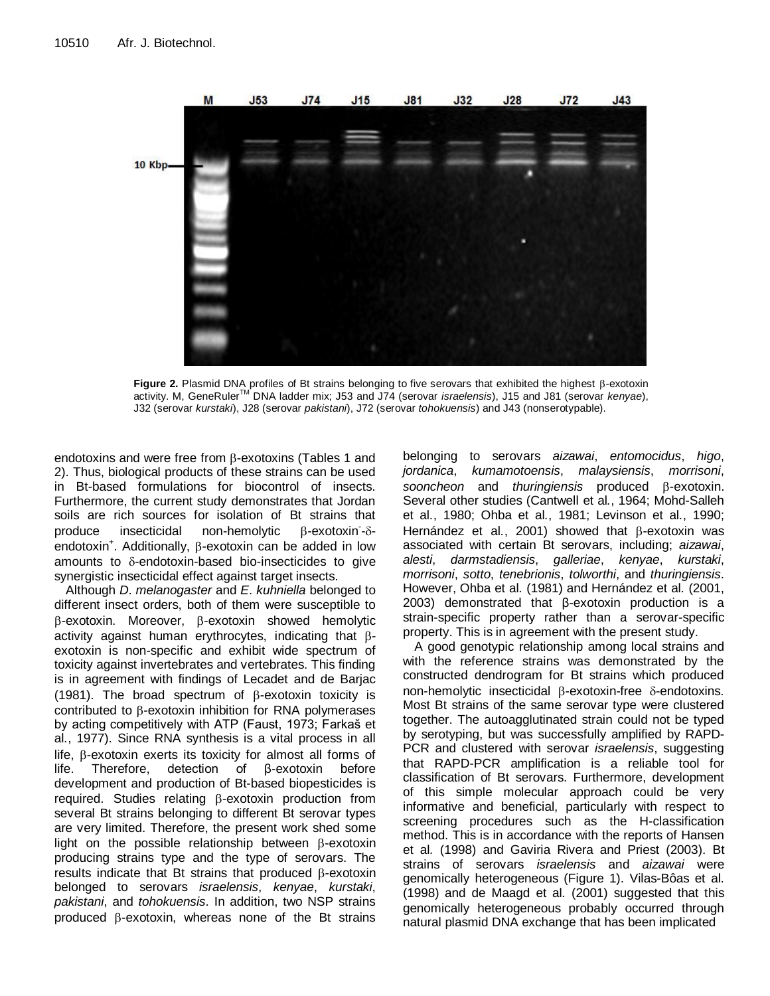

**Figure 2.** Plasmid DNA profiles of Bt strains belonging to five serovars that exhibited the highest  $\beta$ -exotoxin activity. M, GeneRulerTM DNA ladder mix; J53 and J74 (serovar *israelensis*), J15 and J81 (serovar *kenyae*), J32 (serovar *kurstaki*), J28 (serovar *pakistani*), J72 (serovar *tohokuensis*) and J43 (nonserotypable).

endotoxins and were free from  $\beta$ -exotoxins (Tables 1 and 2). Thus, biological products of these strains can be used in Bt-based formulations for biocontrol of insects. Furthermore, the current study demonstrates that Jordan soils are rich sources for isolation of Bt strains that produce insecticidal non-hemolytic  $\beta$ -exotoxin- $\delta$ endotoxin<sup>+</sup>. Additionally, β-exotoxin can be added in low amounts to  $\delta$ -endotoxin-based bio-insecticides to give synergistic insecticidal effect against target insects.

Although *D*. *melanogaster* and *E*. *kuhniella* belonged to different insect orders, both of them were susceptible to  $\beta$ -exotoxin. Moreover,  $\beta$ -exotoxin showed hemolytic activity against human erythrocytes, indicating that  $\beta$ exotoxin is non-specific and exhibit wide spectrum of toxicity against invertebrates and vertebrates. This finding is in agreement with findings of Lecadet and de Barjac (1981). The broad spectrum of  $\beta$ -exotoxin toxicity is contributed to  $\beta$ -exotoxin inhibition for RNA polymerases by acting competitively with ATP (Faust, 1973; Farkaš et al*.*, 1977). Since RNA synthesis is a vital process in all life,  $\beta$ -exotoxin exerts its toxicity for almost all forms of life. Therefore, detection of β-exotoxin before development and production of Bt-based biopesticides is required. Studies relating  $\beta$ -exotoxin production from several Bt strains belonging to different Bt serovar types are very limited. Therefore, the present work shed some light on the possible relationship between  $\beta$ -exotoxin producing strains type and the type of serovars. The results indicate that Bt strains that produced  $\beta$ -exotoxin belonged to serovars *israelensis*, *kenyae*, *kurstaki*, *pakistani*, and *tohokuensis*. In addition, two NSP strains produced  $\beta$ -exotoxin, whereas none of the Bt strains

belonging to serovars *aizawai*, *entomocidus*, *higo*, *jordanica*, *kumamotoensis*, *malaysiensis*, *morrisoni*, sooncheon and *thuringiensis* produced  $\beta$ -exotoxin. Several other studies (Cantwell et al*.*, 1964; Mohd-Salleh et al*.*, 1980; Ohba et al*.*, 1981; Levinson et al*.*, 1990; Hernández et al., 2001) showed that  $\beta$ -exotoxin was associated with certain Bt serovars, including; *aizawai*, *alesti*, *darmstadiensis*, *galleriae*, *kenyae*, *kurstaki*, *morrisoni*, *sotto*, *tenebrionis*, *tolworthi*, and *thuringiensis*. However, Ohba et al*.* (1981) and Hernández et al*.* (2001, 2003) demonstrated that β-exotoxin production is a strain-specific property rather than a serovar-specific property. This is in agreement with the present study.

A good genotypic relationship among local strains and with the reference strains was demonstrated by the constructed dendrogram for Bt strains which produced non-hemolytic insecticidal  $\beta$ -exotoxin-free  $\delta$ -endotoxins. Most Bt strains of the same serovar type were clustered together. The autoagglutinated strain could not be typed by serotyping, but was successfully amplified by RAPD-PCR and clustered with serovar *israelensis*, suggesting that RAPD-PCR amplification is a reliable tool for classification of Bt serovars. Furthermore, development of this simple molecular approach could be very informative and beneficial, particularly with respect to screening procedures such as the H-classification method. This is in accordance with the reports of Hansen et al*.* (1998) and Gaviria Rivera and Priest (2003). Bt strains of serovars *israelensis* and *aizawai* were genomically heterogeneous (Figure 1). Vilas-Bôas et al*.* (1998) and de Maagd et al*.* (2001) suggested that this genomically heterogeneous probably occurred through natural plasmid DNA exchange that has been implicated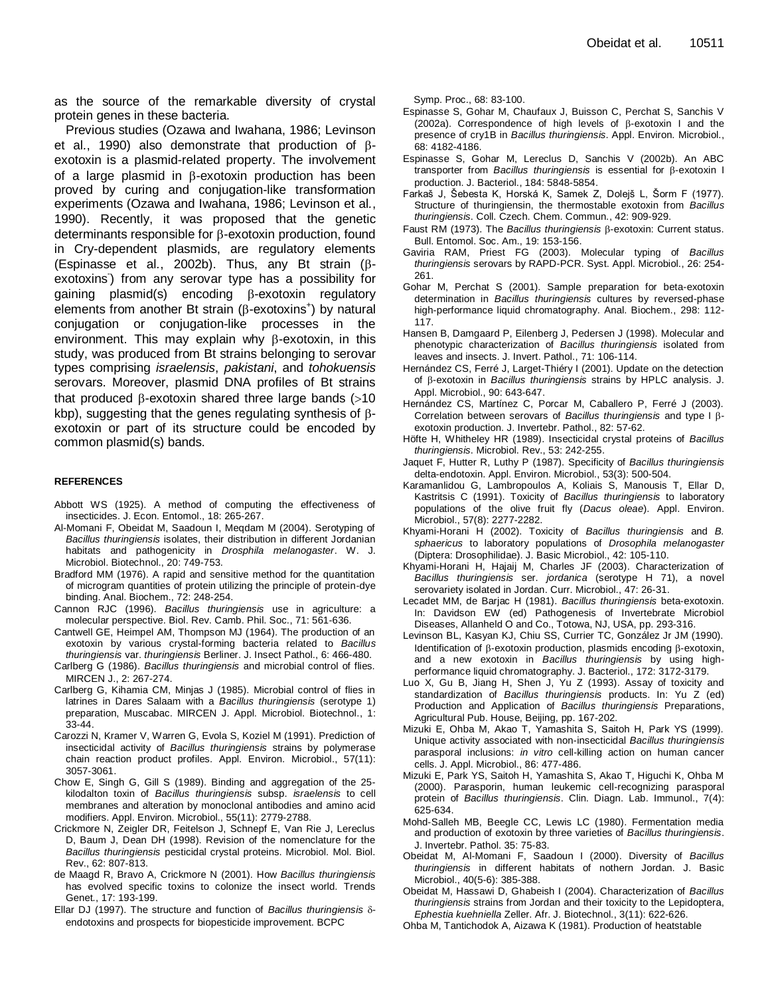as the source of the remarkable diversity of crystal protein genes in these bacteria.

Previous studies (Ozawa and Iwahana, 1986; Levinson et al., 1990) also demonstrate that production of  $\beta$ exotoxin is a plasmid-related property. The involvement of a large plasmid in  $\beta$ -exotoxin production has been proved by curing and conjugation-like transformation experiments (Ozawa and Iwahana, 1986; Levinson et al*.*, 1990). Recently, it was proposed that the genetic determinants responsible for  $\beta$ -exotoxin production, found in Cry-dependent plasmids, are regulatory elements (Espinasse et al., 2002b). Thus, any Bt strain  $(\beta$ exotoxins) from any serovar type has a possibility for gaining plasmid(s) encoding  $\beta$ -exotoxin regulatory elements from another Bt strain ( $\beta$ -exotoxins<sup>+</sup>) by natural conjugation or conjugation-like processes in the environment. This may explain why  $\beta$ -exotoxin, in this study, was produced from Bt strains belonging to serovar types comprising *israelensis*, *pakistani*, and *tohokuensis* serovars. Moreover, plasmid DNA profiles of Bt strains that produced  $\beta$ -exotoxin shared three large bands (>10 kbp), suggesting that the genes regulating synthesis of  $\beta$ exotoxin or part of its structure could be encoded by common plasmid(s) bands.

#### **REFERENCES**

- Abbott WS (1925). A method of computing the effectiveness of insecticides. J. Econ. Entomol., 18: 265-267.
- Al-Momani F, Obeidat M, Saadoun I, Meqdam M (2004). Serotyping of *Bacillus thuringiensis* isolates, their distribution in different Jordanian habitats and pathogenicity in *Drosphila melanogaster*. W. J. Microbiol. Biotechnol., 20: 749-753.
- Bradford MM (1976). A rapid and sensitive method for the quantitation of microgram quantities of protein utilizing the principle of protein-dye binding. Anal. Biochem., 72: 248-254.
- Cannon RJC (1996). *Bacillus thuringiensis* use in agriculture: a molecular perspective. Biol. Rev. Camb. Phil. Soc., 71: 561-636.
- Cantwell GE, Heimpel AM, Thompson MJ (1964). The production of an exotoxin by various crystal-forming bacteria related to *Bacillus thuringiensis* var. *thuringiensis* Berliner. J. Insect Pathol., 6: 466-480.
- Carlberg G (1986). *Bacillus thuringiensis* and microbial control of flies. MIRCEN J., 2: 267-274.
- Carlberg G, Kihamia CM, Minjas J (1985). Microbial control of flies in latrines in Dares Salaam with a *Bacillus thuringiensis* (serotype 1) preparation, Muscabac. MIRCEN J. Appl. Microbiol. Biotechnol., 1: 33-44.
- Carozzi N, Kramer V, Warren G, Evola S, Koziel M (1991). Prediction of insecticidal activity of *Bacillus thuringiensis* strains by polymerase chain reaction product profiles. Appl. Environ. Microbiol., 57(11): 3057-3061.
- Chow E, Singh G, Gill S (1989). Binding and aggregation of the 25 kilodalton toxin of *Bacillus thuringiensis* subsp. *israelensis* to cell membranes and alteration by monoclonal antibodies and amino acid modifiers. Appl. Environ. Microbiol., 55(11): 2779-2788.
- Crickmore N, Zeigler DR, Feitelson J, Schnepf E, Van Rie J, Lereclus D, Baum J, Dean DH (1998). Revision of the nomenclature for the *Bacillus thuringiensis* pesticidal crystal proteins. Microbiol. Mol. Biol. Rev., 62: 807-813.
- de Maagd R, Bravo A, Crickmore N (2001). How *Bacillus thuringiensis*  has evolved specific toxins to colonize the insect world. Trends Genet*.*, 17: 193-199.
- Ellar DJ (1997). The structure and function of *Bacillus thuringiensis*  endotoxins and prospects for biopesticide improvement. BCPC

Symp. Proc., 68: 83-100.

- Espinasse S, Gohar M, Chaufaux J, Buisson C, Perchat S, Sanchis V (2002a). Correspondence of high levels of  $\beta$ -exotoxin I and the presence of cry1B in *Bacillus thuringiensis*. Appl. Environ. Microbiol., 68: 4182-4186.
- Espinasse S, Gohar M, Lereclus D, Sanchis V (2002b). An ABC transporter from *Bacillus thuringiensis* is essential for β-exotoxin I production. J. Bacteriol., 184: 5848-5854.
- Farkaš J, Šebesta K, Horská K, Samek Z, Dolejš L, Šorm F (1977). Structure of thuringiensin, the thermostable exotoxin from *Bacillus thuringiensis*. Coll. Czech. Chem. Commun., 42: 909-929.
- Faust RM (1973). The *Bacillus thuringiensis*  $\beta$ -exotoxin: Current status. Bull. Entomol. Soc. Am., 19: 153-156.
- Gaviria RAM, Priest FG (2003). Molecular typing of *Bacillus thuringiensis* serovars by RAPD-PCR. Syst. Appl. Microbiol., 26: 254- 261.
- Gohar M, Perchat S (2001). Sample preparation for beta-exotoxin determination in *Bacillus thuringiensis* cultures by reversed-phase high-performance liquid chromatography. Anal. Biochem., 298: 112- 117.
- Hansen B, Damgaard P, Eilenberg J, Pedersen J (1998). Molecular and phenotypic characterization of *Bacillus thuringiensis* isolated from leaves and insects. J. Invert. Pathol., 71: 106-114.
- Hernández CS, Ferré J, Larget-Thiéry I (2001). Update on the detection of β-exotoxin in *Bacillus thuringiensis* strains by HPLC analysis. J. Appl. Microbiol., 90: 643-647.
- Hernández CS, Martínez C, Porcar M, Caballero P, Ferré J (2003). Correlation between serovars of *Bacillus thuringiensis* and type Ι βexotoxin production. J. Invertebr. Pathol., 82: 57-62.
- Höfte H, Whitheley HR (1989). Insecticidal crystal proteins of *Bacillus thuringiensis*. Microbiol. Rev., 53: 242-255.
- Jaquet F, Hutter R, Luthy P (1987). Specificity of *Bacillus thuringiensis* delta-endotoxin. Appl. Environ. Microbiol., 53(3): 500-504.
- Karamanlidou G, Lambropoulos A, Koliais S, Manousis T, Ellar D, Kastritsis C (1991). Toxicity of *Bacillus thuringiensis* to laboratory populations of the olive fruit fly (*Dacus oleae*). Appl. Environ. Microbiol., 57(8): 2277-2282.
- Khyami-Horani H (2002). Toxicity of *Bacillus thuringiensis* and *B. sphaericus* to laboratory populations of *Drosophila melanogaster* (Diptera: Drosophilidae). J. Basic Microbiol., 42: 105-110.
- Khyami-Horani H, Hajaij M, Charles JF (2003). Characterization of *Bacillus thuringiensis* ser. *jordanica* (serotype H 71), a novel serovariety isolated in Jordan. Curr. Microbiol., 47: 26-31.
- Lecadet MM, de Barjac H (1981). *Bacillus thuringiensis* beta-exotoxin. In: Davidson EW (ed) Pathogenesis of Invertebrate Microbiol Diseases, Allanheld O and Co., Totowa, NJ, USA, pp. 293-316.
- Levinson BL, Kasyan KJ, Chiu SS, Currier TC, González Jr JM (1990). Identification of  $\beta$ -exotoxin production, plasmids encoding  $\beta$ -exotoxin, and a new exotoxin in *Bacillus thuringiensis* by using highperformance liquid chromatography. J. Bacteriol., 172: 3172-3179.
- Luo X, Gu B, Jiang H, Shen J, Yu Z (1993). Assay of toxicity and standardization of *Bacillus thuringiensis* products. In: Yu Z (ed) Production and Application of *Bacillus thuringiensis* Preparations, Agricultural Pub. House, Beijing, pp. 167-202.
- Mizuki E, Ohba M, Akao T, Yamashita S, Saitoh H, Park YS (1999). Unique activity associated with non-insecticidal *Bacillus thuringiensis*  parasporal inclusions: *in vitro* cell-killing action on human cancer cells. J. Appl. Microbiol., 86: 477-486.
- Mizuki E, Park YS, Saitoh H, Yamashita S, Akao T, Higuchi K, Ohba M (2000). Parasporin, human leukemic cell-recognizing parasporal protein of *Bacillus thuringiensis*. Clin. Diagn. Lab. Immunol., 7(4): 625-634.
- Mohd-Salleh MB, Beegle CC, Lewis LC (1980). Fermentation media and production of exotoxin by three varieties of *Bacillus thuringiensis*. J. Invertebr. Pathol. 35: 75-83.
- Obeidat M, Al-Momani F, Saadoun I (2000). Diversity of *Bacillus thuringiensis* in different habitats of nothern Jordan. J. Basic Microbiol., 40(5-6): 385-388.
- Obeidat M, Hassawi D, Ghabeish I (2004). Characterization of *Bacillus thuringiensis* strains from Jordan and their toxicity to the Lepidoptera, *Ephestia kuehniella* Zeller. Afr. J. Biotechnol., 3(11): 622-626.
- Ohba M, Tantichodok A, Aizawa K (1981). Production of heatstable